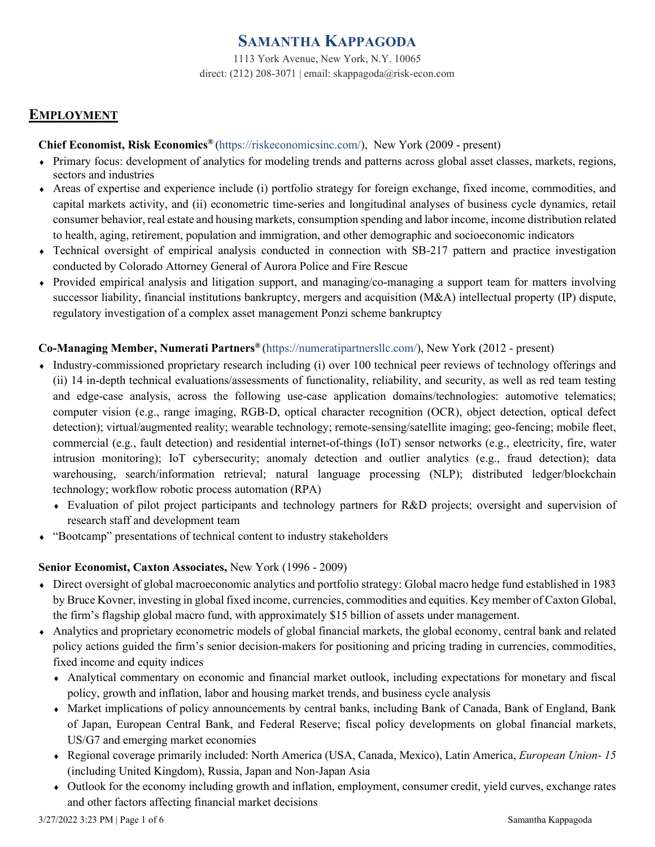# **[SAMANTHA KAPPAGODA](https://riskeconomicsinc.com/samantha-kappagoda/)**

1113 York Avenue, New York, N.Y. 10065 direct: (212) 208-3071 | [email: skappagoda@risk-econ.com](mailto:email:%20skappagoda@risk-econ.com)

## **EMPLOYMENT**

### **Chief Economist, Risk Economics®** [\(https://riskeconomicsinc.com/\)](https://riskeconomicsinc.com/), New York (2009 - present)

- ♦ Primary focus: development of analytics for modeling trends and patterns across global asset classes, markets, regions, sectors and industries
- ♦ Areas of expertise and experience include (i) portfolio strategy for foreign exchange, fixed income, commodities, and capital markets activity, and (ii) econometric time-series and longitudinal analyses of business cycle dynamics, retail consumer behavior, real estate and housing markets, consumption spending and labor income, income distribution related to health, aging, retirement, population and immigration, and other demographic and socioeconomic indicators
- ♦ Technical oversight of empirical analysis conducted in connection with SB-217 pattern and practice investigation conducted by Colorado Attorney General of Aurora Police and Fire Rescue
- ♦ Provided empirical analysis and litigation support, and managing/co-managing a support team for matters involving successor liability, financial institutions bankruptcy, mergers and acquisition (M&A) intellectual property (IP) dispute, regulatory investigation of a complex asset management Ponzi scheme bankruptcy

### **Co-Managing Member, Numerati Partners®** [\(https://numeratipartnersllc.com/\)](https://numeratipartnersllc.com/), New York (2012 - present)

- ♦ Industry-commissioned proprietary research including (i) over 100 technical peer reviews of technology offerings and (ii) 14 in-depth technical evaluations/assessments of functionality, reliability, and security, as well as red team testing and edge-case analysis, across the following use-case application domains/technologies: automotive telematics; computer vision (e.g., range imaging, RGB-D, optical character recognition (OCR), object detection, optical defect detection); virtual/augmented reality; wearable technology; remote-sensing/satellite imaging; geo-fencing; mobile fleet, commercial (e.g., fault detection) and residential internet-of-things (IoT) sensor networks (e.g., electricity, fire, water intrusion monitoring); IoT cybersecurity; anomaly detection and outlier analytics (e.g., fraud detection); data warehousing, search/information retrieval; natural language processing (NLP); distributed ledger/blockchain technology; workflow robotic process automation (RPA)
	- ♦ Evaluation of pilot project participants and technology partners for R&D projects; oversight and supervision of research staff and development team
- ♦ "Bootcamp" presentations of technical content to industry stakeholders

### **Senior Economist, Caxton Associates,** New York (1996 - 2009)

- ♦ Direct oversight of global macroeconomic analytics and portfolio strategy: Global macro hedge fund established in 1983 by Bruce Kovner, investing in global fixed income, currencies, commodities and equities. Key member of Caxton Global, the firm's flagship global macro fund, with approximately \$15 billion of assets under management.
- ♦ Analytics and proprietary econometric models of global financial markets, the global economy, central bank and related policy actions guided the firm's senior decision-makers for positioning and pricing trading in currencies, commodities, fixed income and equity indices
	- ♦ Analytical commentary on economic and financial market outlook, including expectations for monetary and fiscal policy, growth and inflation, labor and housing market trends, and business cycle analysis
	- ♦ Market implications of policy announcements by central banks, including Bank of Canada, Bank of England, Bank of Japan, European Central Bank, and Federal Reserve; fiscal policy developments on global financial markets, US/G7 and emerging market economies
	- ♦ Regional coverage primarily included: North America (USA, Canada, Mexico), Latin America, *European Union- 15* (including United Kingdom), Russia, Japan and Non-Japan Asia
	- ♦ Outlook for the economy including growth and inflation, employment, consumer credit, yield curves, exchange rates and other factors affecting financial market decisions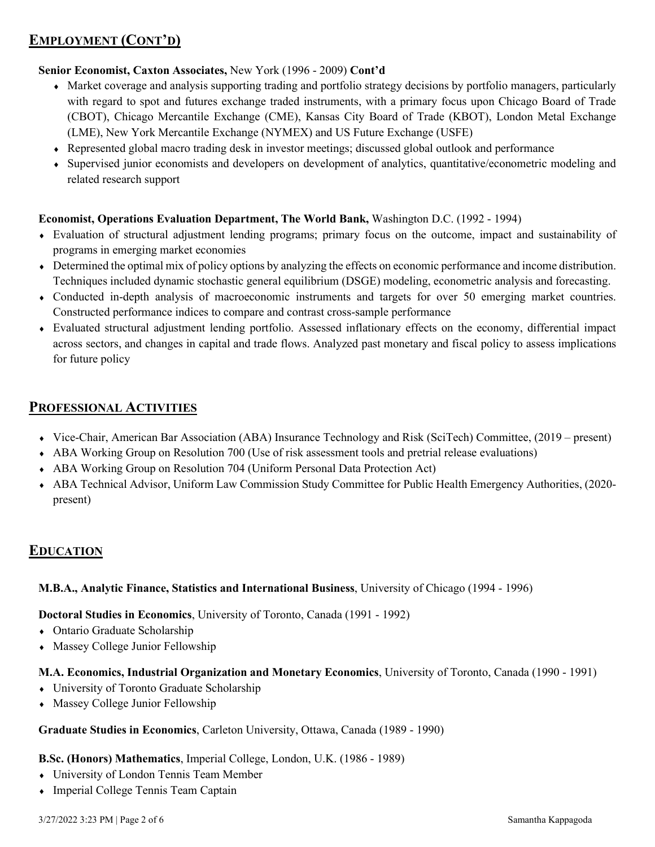# **EMPLOYMENT (CONT'D)**

### **Senior Economist, Caxton Associates,** New York (1996 - 2009) **Cont'd**

- ♦ Market coverage and analysis supporting trading and portfolio strategy decisions by portfolio managers, particularly with regard to spot and futures exchange traded instruments, with a primary focus upon Chicago Board of Trade (CBOT), Chicago Mercantile Exchange (CME), Kansas City Board of Trade (KBOT), London Metal Exchange (LME), New York Mercantile Exchange (NYMEX) and US Future Exchange (USFE)
- ♦ Represented global macro trading desk in investor meetings; discussed global outlook and performance
- ♦ Supervised junior economists and developers on development of analytics, quantitative/econometric modeling and related research support

### **Economist, Operations Evaluation Department, The World Bank,** Washington D.C. (1992 - 1994)

- ♦ Evaluation of structural adjustment lending programs; primary focus on the outcome, impact and sustainability of programs in emerging market economies
- ♦ Determined the optimal mix of policy options by analyzing the effects on economic performance and income distribution. Techniques included dynamic stochastic general equilibrium (DSGE) modeling, econometric analysis and forecasting.
- ♦ Conducted in-depth analysis of macroeconomic instruments and targets for over 50 emerging market countries. Constructed performance indices to compare and contrast cross-sample performance
- ♦ Evaluated structural adjustment lending portfolio. Assessed inflationary effects on the economy, differential impact across sectors, and changes in capital and trade flows. Analyzed past monetary and fiscal policy to assess implications for future policy

### **PROFESSIONAL ACTIVITIES**

- ♦ Vice-Chair, American Bar Association (ABA) Insurance Technology and Risk (SciTech) Committee, (2019 present)
- ♦ ABA Working Group on Resolution 700 (Use of risk assessment tools and pretrial release evaluations)
- ♦ ABA Working Group on Resolution 704 (Uniform Personal Data Protection Act)
- ♦ ABA Technical Advisor, Uniform Law Commission Study Committee for Public Health Emergency Authorities, (2020 present)

### **EDUCATION**

### **M.B.A., Analytic Finance, Statistics and International Business**, University of Chicago (1994 - 1996)

### **Doctoral Studies in Economics**, University of Toronto, Canada (1991 - 1992)

- ♦ Ontario Graduate Scholarship
- ♦ Massey College Junior Fellowship

#### **M.A. Economics, Industrial Organization and Monetary Economics**, University of Toronto, Canada (1990 - 1991)

- ♦ University of Toronto Graduate Scholarship
- Massey College Junior Fellowship

#### **Graduate Studies in Economics**, Carleton University, Ottawa, Canada (1989 - 1990)

#### **B.Sc. (Honors) Mathematics**, Imperial College, London, U.K. (1986 - 1989)

- ♦ University of London Tennis Team Member
- ♦ Imperial College Tennis Team Captain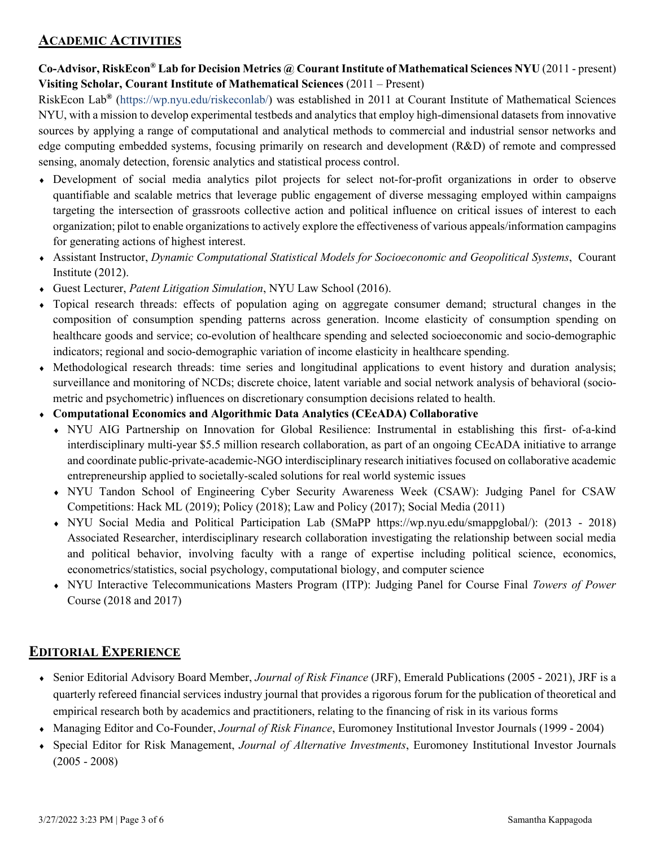### **ACADEMIC ACTIVITIES**

**Co-Advisor, RiskEcon® Lab for Decision Metrics @ Courant Institute of Mathematical Sciences NYU** (2011 - present) **Visiting Scholar, Courant Institute of Mathematical Sciences** (2011 – Present)

RiskEcon Lab**®** [\(https://wp.nyu.edu/riskeconlab/\)](https://wp.nyu.edu/riskeconlab/) was established in 2011 at Courant Institute of Mathematical Sciences NYU, with a mission to develop experimental testbeds and analytics that employ high-dimensional datasets from innovative sources by applying a range of computational and analytical methods to commercial and industrial sensor networks and edge computing embedded systems, focusing primarily on research and development (R&D) of remote and compressed sensing, anomaly detection, forensic analytics and statistical process control.

- ♦ Development of social media analytics pilot projects for select not-for-profit organizations in order to observe quantifiable and scalable metrics that leverage public engagement of diverse messaging employed within campaigns targeting the intersection of grassroots collective action and political influence on critical issues of interest to each organization; pilot to enable organizations to actively explore the effectiveness of various appeals/information campagins for generating actions of highest interest.
- ♦ Assistant Instructor, *Dynamic Computational Statistical Models for Socioeconomic and Geopolitical Systems*, Courant Institute (2012).
- ♦ Guest Lecturer, *Patent Litigation Simulation*, NYU Law School (2016).
- ♦ Topical research threads: effects of population aging on aggregate consumer demand; structural changes in the composition of consumption spending patterns across generation. Income elasticity of consumption spending on healthcare goods and service; co-evolution of healthcare spending and selected socioeconomic and socio-demographic indicators; regional and socio-demographic variation of income elasticity in healthcare spending.
- ♦ Methodological research threads: time series and longitudinal applications to event history and duration analysis; surveillance and monitoring of NCDs; discrete choice, latent variable and social network analysis of behavioral (sociometric and psychometric) influences on discretionary consumption decisions related to health.
- ♦ **Computational Economics and Algorithmic Data Analytics (CEcADA) Collaborative**
	- ♦ NYU AIG Partnership on Innovation for Global Resilience: Instrumental in establishing this first- of-a-kind interdisciplinary multi-year \$5.5 million research collaboration, as part of an ongoing CEcADA initiative to arrange and coordinate public-private-academic-NGO interdisciplinary research initiatives focused on collaborative academic entrepreneurship applied to societally-scaled solutions for real world systemic issues
	- ♦ NYU Tandon School of Engineering Cyber Security Awareness Week (CSAW): Judging Panel for CSAW Competitions: Hack ML (2019); Policy (2018); Law and Policy (2017); Social Media (2011)
	- ♦ NYU Social Media and Political Participation Lab (SMaPP https://wp.nyu.edu/smappglobal/): (2013 2018) Associated Researcher, interdisciplinary research collaboration investigating the relationship between social media and political behavior, involving faculty with a range of expertise including political science, economics, econometrics/statistics, social psychology, computational biology, and computer science
	- ♦ NYU Interactive Telecommunications Masters Program (ITP): Judging Panel for Course Final *Towers of Power* Course (2018 and 2017)

# **EDITORIAL EXPERIENCE**

- ♦ Senior Editorial Advisory Board Member, *Journal of Risk Finance* (JRF), Emerald Publications (2005 2021), JRF is a quarterly refereed financial services industry journal that provides a rigorous forum for the publication of theoretical and empirical research both by academics and practitioners, relating to the financing of risk in its various forms
- ♦ Managing Editor and Co-Founder, *Journal of Risk Finance*, Euromoney Institutional Investor Journals (1999 2004)
- ♦ Special Editor for Risk Management, *Journal of Alternative Investments*, Euromoney Institutional Investor Journals (2005 - 2008)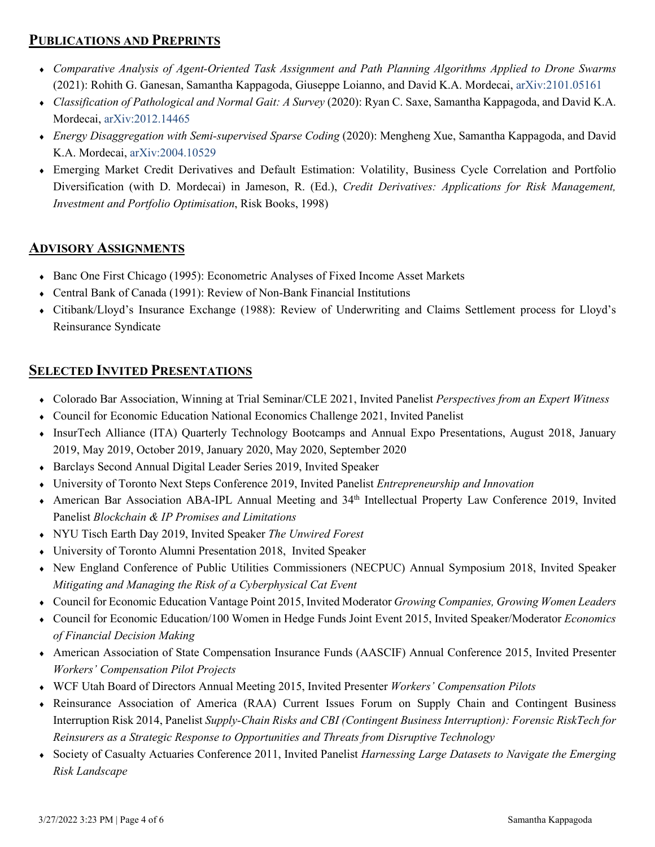## **PUBLICATIONS AND PREPRINTS**

- ♦ *Comparative Analysis of Agent-Oriented Task Assignment and Path Planning Algorithms Applied to Drone Swarms*  (2021): Rohith G. Ganesan, Samantha Kappagoda, Giuseppe Loianno, and David K.A. Mordecai, [arXiv:2101.05161](https://arxiv.org/pdf/2101.05161.pdf)
- ♦ *Classification of Pathological and Normal Gait: A Survey* (2020): Ryan C. Saxe, Samantha Kappagoda, and David K.A. Mordecai, [arXiv:2012.14465](https://arxiv.org/pdf/2012.14465.pdf)
- ♦ *Energy Disaggregation with Semi-supervised Sparse Coding* (2020): Mengheng Xue, Samantha Kappagoda, and David K.A. Mordecai, [arXiv:2004.10529](https://arxiv.org/pdf/2004.10529.pdf)
- ♦ Emerging Market Credit Derivatives and Default Estimation: Volatility, Business Cycle Correlation and Portfolio Diversification (with D. Mordecai) in Jameson, R. (Ed.), *Credit Derivatives: Applications for Risk Management, Investment and Portfolio Optimisation*, Risk Books, 1998)

## **ADVISORY ASSIGNMENTS**

- ♦ Banc One First Chicago (1995): Econometric Analyses of Fixed Income Asset Markets
- ♦ Central Bank of Canada (1991): Review of Non-Bank Financial Institutions
- ♦ Citibank/Lloyd's Insurance Exchange (1988): Review of Underwriting and Claims Settlement process for Lloyd's Reinsurance Syndicate

## **SELECTED INVITED PRESENTATIONS**

- ♦ Colorado Bar Association, Winning at Trial Seminar/CLE 2021, Invited Panelist *Perspectives from an Expert Witness*
- ♦ Council for Economic Education National Economics Challenge 2021, Invited Panelist
- ♦ InsurTech Alliance (ITA) Quarterly Technology Bootcamps and Annual Expo Presentations, August 2018, January 2019, May 2019, October 2019, January 2020, May 2020, September 2020
- ♦ Barclays Second Annual Digital Leader Series 2019, Invited Speaker
- ♦ University of Toronto Next Steps Conference 2019, Invited Panelist *Entrepreneurship and Innovation*
- ♦ American Bar Association ABA-IPL Annual Meeting and 34th Intellectual Property Law Conference 2019, Invited Panelist *Blockchain & IP Promises and Limitations*
- ♦ NYU Tisch Earth Day 2019, Invited Speaker *The Unwired Forest*
- ♦ University of Toronto Alumni Presentation 2018, Invited Speaker
- ♦ New England Conference of Public Utilities Commissioners (NECPUC) Annual Symposium 2018, Invited Speaker *Mitigating and Managing the Risk of a Cyberphysical Cat Event*
- ♦ Council for Economic Education Vantage Point 2015, Invited Moderator *Growing Companies, Growing Women Leaders*
- ♦ Council for Economic Education/100 Women in Hedge Funds Joint Event 2015, Invited Speaker/Moderator *Economics of Financial Decision Making*
- ♦ American Association of State Compensation Insurance Funds (AASCIF) Annual Conference 2015, Invited Presenter *Workers' Compensation Pilot Projects*
- ♦ WCF Utah Board of Directors Annual Meeting 2015, Invited Presenter *Workers' Compensation Pilots*
- ♦ Reinsurance Association of America (RAA) Current Issues Forum on Supply Chain and Contingent Business Interruption Risk 2014, Panelist *Supply-Chain Risks and CBI (Contingent Business Interruption): Forensic RiskTech for Reinsurers as a Strategic Response to Opportunities and Threats from Disruptive Technology*
- ♦ Society of Casualty Actuaries Conference 2011, Invited Panelist *Harnessing Large Datasets to Navigate the Emerging Risk Landscape*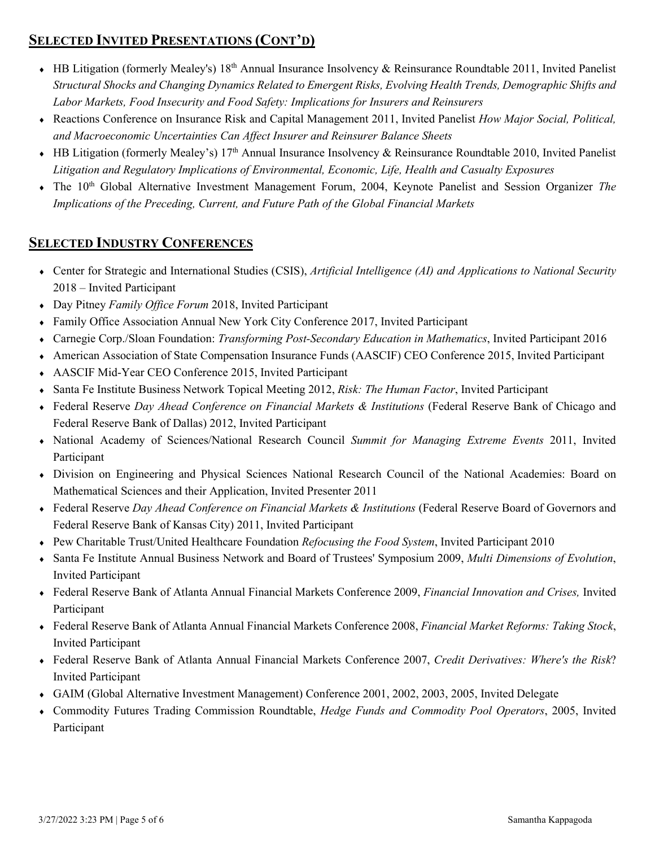# **SELECTED INVITED PRESENTATIONS (CONT'D)**

- ♦ HB Litigation (formerly Mealey's) 18th Annual Insurance Insolvency & Reinsurance Roundtable 2011, Invited Panelist *Structural Shocks and Changing Dynamics Related to Emergent Risks, Evolving Health Trends, Demographic Shifts and Labor Markets, Food Insecurity and Food Safety: Implications for Insurers and Reinsurers*
- ♦ Reactions Conference on Insurance Risk and Capital Management 2011, Invited Panelist *How Major Social, Political, and Macroeconomic Uncertainties Can Affect Insurer and Reinsurer Balance Sheets*
- ♦ HB Litigation (formerly Mealey's) 17th Annual Insurance Insolvency & Reinsurance Roundtable 2010, Invited Panelist *Litigation and Regulatory Implications of Environmental, Economic, Life, Health and Casualty Exposures*
- ♦ The 10th Global Alternative Investment Management Forum, 2004, Keynote Panelist and Session Organizer *The Implications of the Preceding, Current, and Future Path of the Global Financial Markets*

## **SELECTED INDUSTRY CONFERENCES**

- ♦ Center for Strategic and International Studies (CSIS), *Artificial Intelligence (AI) and Applications to National Security* 2018 – Invited Participant
- ♦ Day Pitney *Family Office Forum* 2018, Invited Participant
- ♦ Family Office Association Annual New York City Conference 2017, Invited Participant
- ♦ Carnegie Corp./Sloan Foundation: *Transforming Post-Secondary Education in Mathematics*, Invited Participant 2016
- ♦ American Association of State Compensation Insurance Funds (AASCIF) CEO Conference 2015, Invited Participant
- ♦ AASCIF Mid-Year CEO Conference 2015, Invited Participant
- ♦ Santa Fe Institute Business Network Topical Meeting 2012, *Risk: The Human Factor*, Invited Participant
- ♦ Federal Reserve *Day Ahead Conference on Financial Markets & Institutions* (Federal Reserve Bank of Chicago and Federal Reserve Bank of Dallas) 2012, Invited Participant
- ♦ National Academy of Sciences/National Research Council *Summit for Managing Extreme Events* 2011, Invited Participant
- ♦ Division on Engineering and Physical Sciences National Research Council of the National Academies: Board on Mathematical Sciences and their Application, Invited Presenter 2011
- ♦ Federal Reserve *Day Ahead Conference on Financial Markets & Institutions* (Federal Reserve Board of Governors and Federal Reserve Bank of Kansas City) 2011, Invited Participant
- ♦ Pew Charitable Trust/United Healthcare Foundation *Refocusing the Food System*, Invited Participant 2010
- ♦ Santa Fe Institute Annual Business Network and Board of Trustees' Symposium 2009, *Multi Dimensions of Evolution*, Invited Participant
- ♦ Federal Reserve Bank of Atlanta Annual Financial Markets Conference 2009, *Financial Innovation and Crises,* Invited Participant
- ♦ Federal Reserve Bank of Atlanta Annual Financial Markets Conference 2008, *Financial Market Reforms: Taking Stock*, Invited Participant
- ♦ Federal Reserve Bank of Atlanta Annual Financial Markets Conference 2007, *Credit Derivatives: Where's the Risk*? Invited Participant
- ♦ GAIM (Global Alternative Investment Management) Conference 2001, 2002, 2003, 2005, Invited Delegate
- ♦ Commodity Futures Trading Commission Roundtable, *Hedge Funds and Commodity Pool Operators*, 2005, Invited Participant